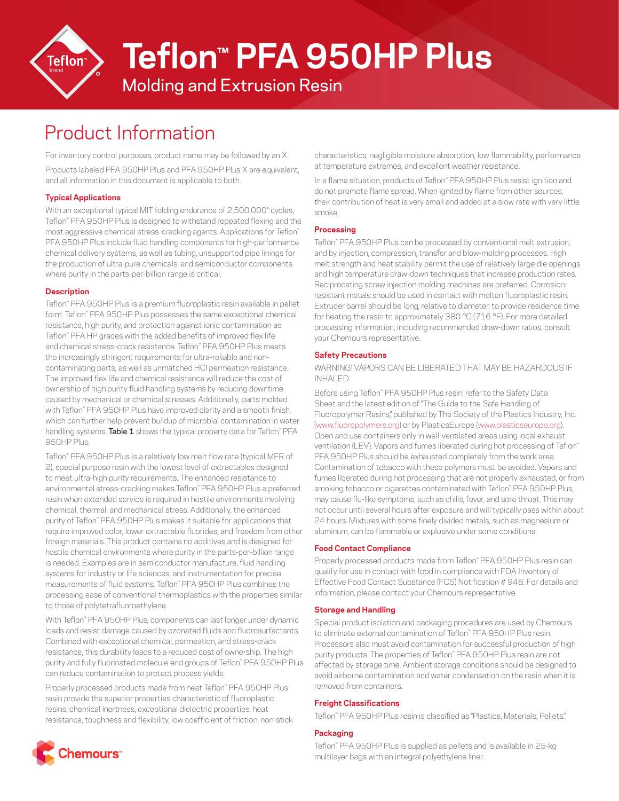

# **Teflon™ PFA 950HP Plus**

### Molding and Extrusion Resin

## Product Information

For inventory control purposes, product name may be followed by an X.

Products labeled PFA 950HP Plus and PFA 950HP Plus X are equivalent, and all information in this document is applicable to both.

#### **Typical Applications**

With an exceptional typical MIT folding endurance of 2,500,000<sup>\*</sup> cycles, Teflon™ PFA 950HP Plus is designed to withstand repeated flexing and the most aggressive chemical stress-cracking agents. Applications for Teflon™ PFA 950HP Plus include fluid handling components for high-performance chemical delivery systems, as well as tubing, unsupported pipe linings for the production of ultra-pure chemicals, and semiconductor components where purity in the parts-per-billion range is critical.

#### **Description**

Teflon™ PFA 950HP Plus is a premium fluoroplastic resin available in pellet form. Teflon™ PFA 950HP Plus possesses the same exceptional chemical resistance, high purity, and protection against ionic contamination as Teflon™ PFA HP grades with the added benefits of improved flex life and chemical stress-crack resistance. Teflon™ PFA 950HP Plus meets the increasingly stringent requirements for ultra-reliable and noncontaminating parts, as well as unmatched HCl permeation resistance. The improved flex life and chemical resistance will reduce the cost of ownership of high purity fluid handling systems by reducing downtime caused by mechanical or chemical stresses. Additionally, parts molded with Teflon™ PFA 950HP Plus have improved clarity and a smooth finish, which can further help prevent buildup of microbial contamination in water handling systems. **Table 1** shows the typical property data for Teflon™ PFA 950HP Plus.

Teflon™ PFA 950HP Plus is a relatively low melt flow rate (typical MFR of 2), special purpose resin with the lowest level of extractables designed to meet ultra-high purity requirements. The enhanced resistance to environmental stress-cracking makes Teflon™ PFA 950HP Plus a preferred resin when extended service is required in hostile environments involving chemical, thermal, and mechanical stress. Additionally, the enhanced purity of Teflon™ PFA 950HP Plus makes it suitable for applications that require improved color, lower extractable fluorides, and freedom from other foreign materials. This product contains no additives and is designed for hostile chemical environments where purity in the parts-per-billion range is needed. Examples are in semiconductor manufacture, fluid handling systems for industry or life sciences, and instrumentation for precise measurements of fluid systems. Teflon™ PFA 950HP Plus combines the processing ease of conventional thermoplastics with the properties similar to those of polytetrafluoroethylene.

With Teflon™ PFA 950HP Plus, components can last longer under dynamic loads and resist damage caused by ozonated fluids and fluorosurfactants. Combined with exceptional chemical, permeation, and stress-crack resistance, this durability leads to a reduced cost of ownership. The high purity and fully fluorinated molecule end groups of Teflon™ PFA 950HP Plus can reduce contamination to protect process yields.

Properly processed products made from neat Teflon™ PFA 950HP Plus resin provide the superior properties characteristic of fluoroplastic resins: chemical inertness, exceptional dielectric properties, heat resistance, toughness and flexibility, low coefficient of friction, non-stick



In a flame situation, products of Teflon™ PFA 950HP Plus resist ignition and do not promote flame spread. When ignited by flame from other sources, their contribution of heat is very small and added at a slow rate with very little smoke.

#### **Processing**

Teflon™ PFA 950HP Plus can be processed by conventional melt extrusion, and by injection, compression, transfer and blow-molding processes. High melt strength and heat stability permit the use of relatively large die openings and high temperature draw-down techniques that increase production rates. Reciprocating screw injection molding machines are preferred. Corrosionresistant metals should be used in contact with molten fluoroplastic resin. Extruder barrel should be long, relative to diameter, to provide residence time for heating the resin to approximately 380 °C (716 °F). For more detailed processing information, including recommended draw-down ratios, consult your Chemours representative.

#### **Safety Precautions**

WARNING! VAPORS CAN BE LIBERATED THAT MAY BE HAZARDOUS IF INHALED.

Before using Teflon™ PFA 950HP Plus resin, refer to the Safety Data Sheet and the latest edition of "The Guide to the Safe Handling of Fluoropolymer Resins," published by The Society of the Plastics Industry, Inc. ([www.fluoropolymers.org](http://www.fluoropolymers.org)) or by PlasticsEurope ([www.plasticseurope.org\)](http://www.plasticseurope.org). Open and use containers only in well-ventilated areas using local exhaust ventilation (LEV). Vapors and fumes liberated during hot processing of Teflon™ PFA 950HP Plus should be exhausted completely from the work area. Contamination of tobacco with these polymers must be avoided. Vapors and fumes liberated during hot processing that are not properly exhausted, or from smoking tobacco or cigarettes contaminated with Teflon™ PFA 950HP Plus, may cause flu-like symptoms, such as chills, fever, and sore throat. This may not occur until several hours after exposure and will typically pass within about 24 hours. Mixtures with some finely divided metals, such as magnesium or aluminum, can be flammable or explosive under some conditions.

#### **Food Contact Compliance**

Properly processed products made from Teflon™ PFA 950HP Plus resin can qualify for use in contact with food in compliance with FDA Inventory of Effective Food Contact Substance (FCS) Notification # 948. For details and information, please contact your Chemours representative.

#### **Storage and Handling**

Special product isolation and packaging procedures are used by Chemours to eliminate external contamination of Teflon™ PFA 950HP Plus resin. Processors also must avoid contamination for successful production of high purity products. The properties of Teflon™ PFA 950HP Plus resin are not affected by storage time. Ambient storage conditions should be designed to avoid airborne contamination and water condensation on the resin when it is removed from containers.

#### **Freight Classifications**

Teflon™ PFA 950HP Plus resin is classified as "Plastics, Materials, Pellets."

#### **Packaging**

**Chemours**"

Teflon™ PFA 950HP Plus is supplied as pellets and is available in 25-kg multilayer bags with an integral polyethylene liner.